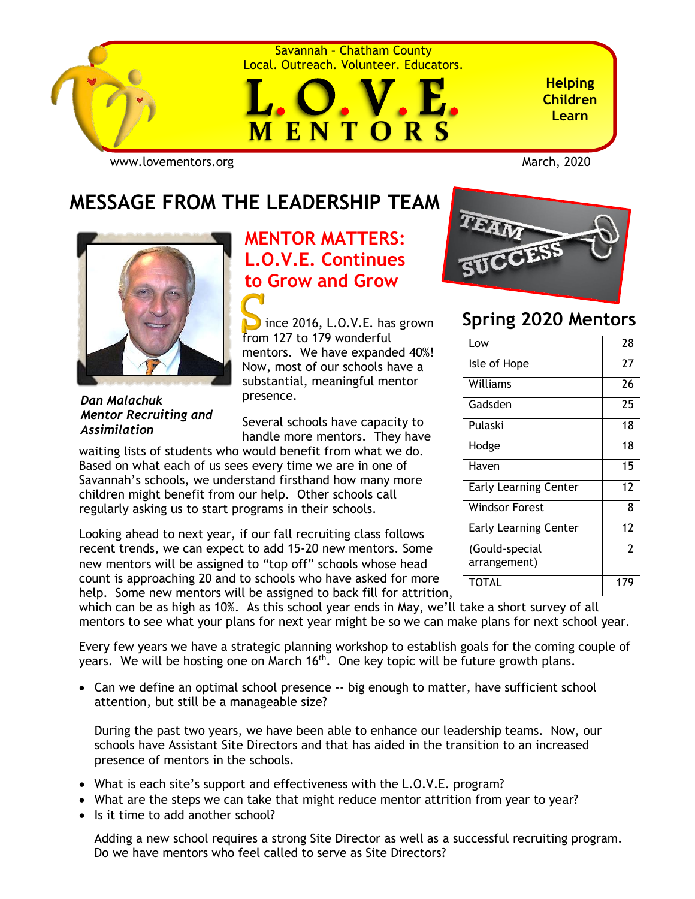

Savannah – Chatham County Local. Outreach. Volunteer. Educators.



**Helping Children Learn**

[www.lovementors.org](http://www.lovementors.org/)<br>
March, 2020

## **MESSAGE FROM THE LEADERSHIP TEAM**



# **MENTOR MATTERS: L.O.V.E. Continues to Grow and Grow**

 ince 2016, L.O.V.E. has grown from 127 to 179 wonderful mentors. We have expanded 40%! Now, most of our schools have a substantial, meaningful mentor presence.

*Dan Malachuk Mentor Recruiting and Assimilation*

Several schools have capacity to handle more mentors. They have

waiting lists of students who would benefit from what we do. Based on what each of us sees every time we are in one of Savannah's schools, we understand firsthand how many more children might benefit from our help. Other schools call regularly asking us to start programs in their schools.

Looking ahead to next year, if our fall recruiting class follows recent trends, we can expect to add 15-20 new mentors. Some new mentors will be assigned to "top off" schools whose head count is approaching 20 and to schools who have asked for more

help. Some new mentors will be assigned to back fill for attrition, which can be as high as 10%. As this school year ends in May, we'll take a short survey of all mentors to see what your plans for next year might be so we can make plans for next school year.

Every few years we have a strategic planning workshop to establish goals for the coming couple of years. We will be hosting one on March  $16<sup>th</sup>$ . One key topic will be future growth plans.

• Can we define an optimal school presence -- big enough to matter, have sufficient school attention, but still be a manageable size?

During the past two years, we have been able to enhance our leadership teams. Now, our schools have Assistant Site Directors and that has aided in the transition to an increased presence of mentors in the schools.

- What is each site's support and effectiveness with the L.O.V.E. program?
- What are the steps we can take that might reduce mentor attrition from year to year?
- Is it time to add another school?

Adding a new school requires a strong Site Director as well as a successful recruiting program. Do we have mentors who feel called to serve as Site Directors?



### **Spring 2020 Mentors**

| Low                            | 28             |
|--------------------------------|----------------|
| Isle of Hope                   | 27             |
| Williams                       | 26             |
| Gadsden                        | 25             |
| Pulaski                        | 18             |
| Hodge                          | 18             |
| Haven                          | 15             |
| <b>Early Learning Center</b>   | 12             |
| <b>Windsor Forest</b>          | 8              |
| <b>Early Learning Center</b>   | 12             |
| (Gould-special<br>arrangement) | $\overline{2}$ |
| TOTAL                          | 179            |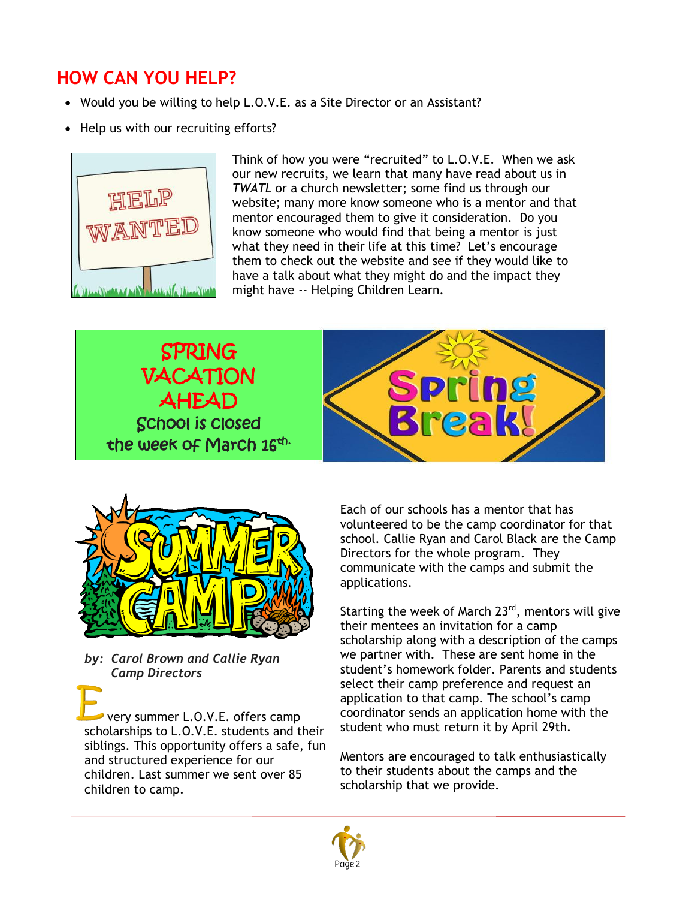### **HOW CAN YOU HELP?**

- Would you be willing to help L.O.V.E. as a Site Director or an Assistant?
- Help us with our recruiting efforts?



Think of how you were "recruited" to L.O.V.E. When we ask our new recruits, we learn that many have read about us in *TWATL* or a church newsletter; some find us through our website; many more know someone who is a mentor and that mentor encouraged them to give it consideration. Do you know someone who would find that being a mentor is just what they need in their life at this time? Let's encourage them to check out the website and see if they would like to have a talk about what they might do and the impact they might have -- Helping Children Learn.

SPRING VACATION **Pring** AHEAD <u>reak</u> School is closed the week of March 16<sup>th.</sup>



*by: Carol Brown and Callie Ryan Camp Directors*

 very summer L.O.V.E. offers camp scholarships to L.O.V.E. students and their siblings. This opportunity offers a safe, fun and structured experience for our children. Last summer we sent over 85 children to camp.

Each of our schools has a mentor that has volunteered to be the camp coordinator for that school. Callie Ryan and Carol Black are the Camp Directors for the whole program. They communicate with the camps and submit the applications.

Starting the week of March 23<sup>rd</sup>, mentors will give their mentees an invitation for a camp scholarship along with a description of the camps we partner with. These are sent home in the student's homework folder. Parents and students select their camp preference and request an application to that camp. The school's camp coordinator sends an application home with the student who must return it by April 29th.

Mentors are encouraged to talk enthusiastically to their students about the camps and the scholarship that we provide.

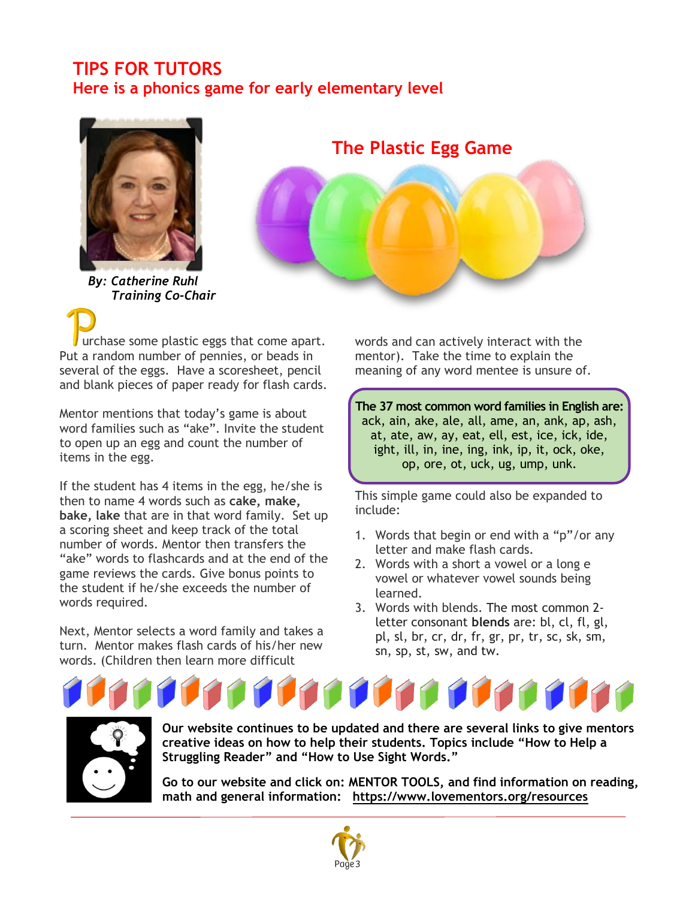### **TIPS FOR TUTORS Here is a phonics game for early elementary level**



*By: Catherine Ruhl Training Co-Chair*

**The Plastic Egg Game**



 urchase some plastic eggs that come apart. Put a random number of pennies, or beads in several of the eggs. Have a scoresheet, pencil and blank pieces of paper ready for flash cards.

Mentor mentions that today's game is about word families such as "ake". Invite the student to open up an egg and count the number of items in the egg.

If the student has 4 items in the egg, he/she is then to name 4 words such as **cake, make, bake, lake** that are in that word family. Set up a scoring sheet and keep track of the total number of words. Mentor then transfers the "ake" words to flashcards and at the end of the game reviews the cards. Give bonus points to the student if he/she exceeds the number of words required.

Next, Mentor selects a word family and takes a turn. Mentor makes flash cards of his/her new words. (Children then learn more difficult

words and can actively interact with the mentor). Take the time to explain the meaning of any word mentee is unsure of.

**The 37 most common word families in English are:**  ack, ain, ake, ale, all, ame, an, ank, ap, ash, at, ate, aw, ay, eat, ell, est, ice, ick, ide, ight, ill, in, ine, ing, ink, ip, it, ock, oke, op, ore, ot, uck, ug, ump, unk.

This simple game could also be expanded to include:

- 1. Words that begin or end with a "p"/or any letter and make flash cards.
- 2. Words with a short a vowel or a long e vowel or whatever vowel sounds being learned.
- 3. Words with blends. The most common 2 letter consonant **blends** are: bl, cl, fl, gl, pl, sl, br, cr, dr, fr, gr, pr, tr, sc, sk, sm, sn, sp, st, sw, and tw.





**Our website continues to be updated and there are several links to give mentors creative ideas on how to help their students. Topics include "How to Help a Struggling Reader" and "How to Use Sight Words."** 

**Go to our website and click on: MENTOR TOOLS, and find information on reading, math and general information: <https://www.lovementors.org/resources>**